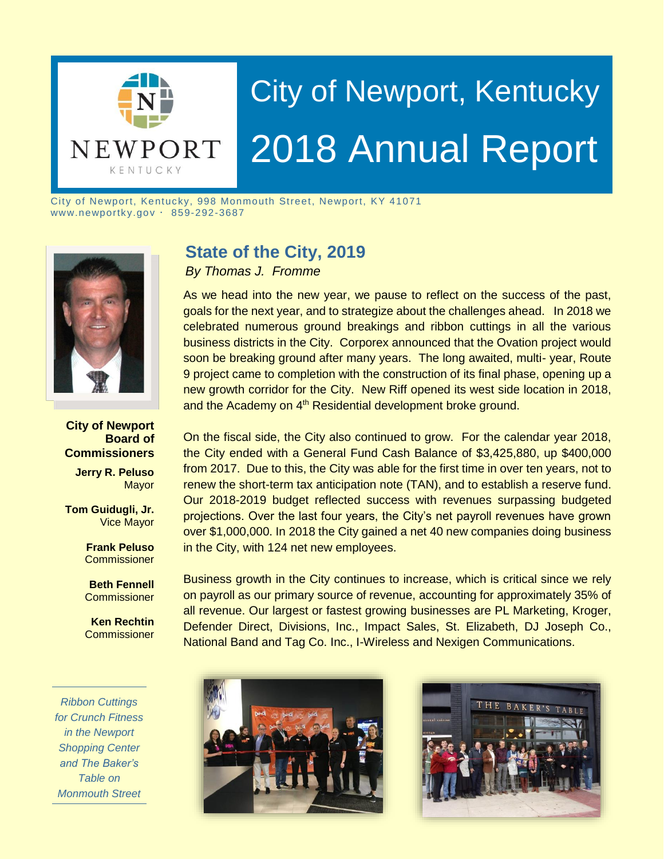

# City of Newport, Kentucky 2018 Annual Report

City of Newport, Kentucky, 998 Monmouth Street, Newport, KY 41071  $www.newportky.gov \cdot 859-292-3687$ 



#### **City of Newport Board of Commissioners**

**Jerry R. Peluso** Mayor

**Tom Guidugli, Jr.** Vice Mayor

> **Frank Peluso Commissioner**

**Beth Fennell Commissioner** 

**Ken Rechtin Commissioner** 

*Ribbon Cuttings for Crunch Fitness in the Newport Shopping Center and The Baker's Table on Monmouth Street*

# **State of the City, 2019**

*By Thomas J. Fromme*

As we head into the new year, we pause to reflect on the success of the past, goals for the next year, and to strategize about the challenges ahead. In 2018 we celebrated numerous ground breakings and ribbon cuttings in all the various business districts in the City. Corporex announced that the Ovation project would soon be breaking ground after many years. The long awaited, multi- year, Route 9 project came to completion with the construction of its final phase, opening up a new growth corridor for the City. New Riff opened its west side location in 2018, and the Academy on 4<sup>th</sup> Residential development broke ground.

On the fiscal side, the City also continued to grow. For the calendar year 2018, the City ended with a General Fund Cash Balance of \$3,425,880, up \$400,000 from 2017. Due to this, the City was able for the first time in over ten years, not to renew the short-term tax anticipation note (TAN), and to establish a reserve fund. Our 2018-2019 budget reflected success with revenues surpassing budgeted projections. Over the last four years, the City's net payroll revenues have grown over \$1,000,000. In 2018 the City gained a net 40 new companies doing business in the City, with 124 net new employees.

Business growth in the City continues to increase, which is critical since we rely on payroll as our primary source of revenue, accounting for approximately 35% of all revenue. Our largest or fastest growing businesses are PL Marketing, Kroger, Defender Direct, Divisions, Inc., Impact Sales, St. Elizabeth, DJ Joseph Co., National Band and Tag Co. Inc., I-Wireless and Nexigen Communications.



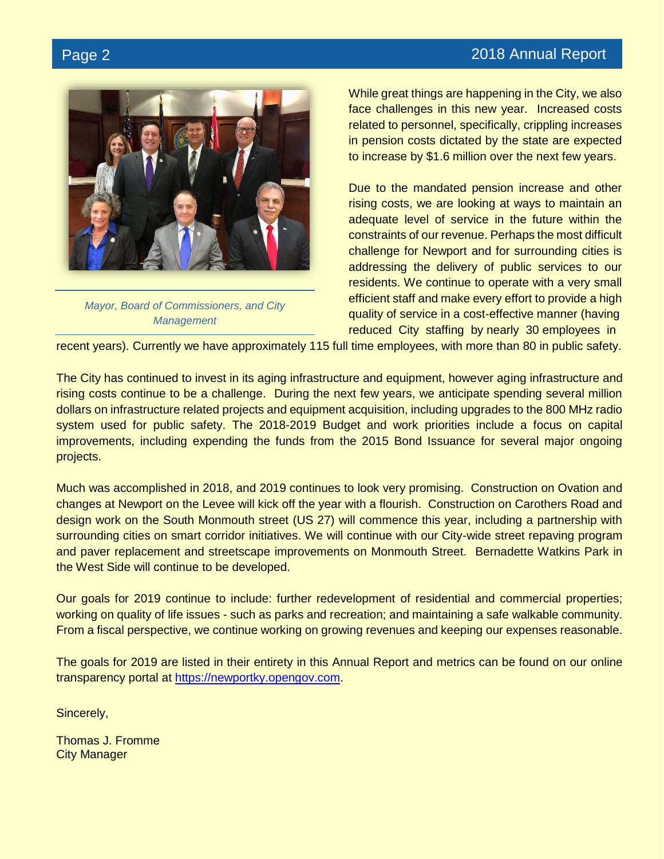## Page 2 2018 Annual Report



*Mayor, Board of Commissioners, and City Management* 

While great things are happening in the City, we also face challenges in this new year. Increased costs related to personnel, specifically, crippling increases in pension costs dictated by the state are expected to increase by \$1.6 million over the next few years.

Due to the mandated pension increase and other rising costs, we are looking at ways to maintain an adequate level of service in the future within the constraints of our revenue. Perhaps the most difficult challenge for Newport and for surrounding cities is addressing the delivery of public services to our residents. We continue to operate with a very small efficient staff and make every effort to provide a high quality of service in a cost-effective manner (having reduced City staffing by nearly 30 employees in

recent years). Currently we have approximately 115 full time employees, with more than 80 in public safety.

The City has continued to invest in its aging infrastructure and equipment, however aging infrastructure and rising costs continue to be a challenge. During the next few years, we anticipate spending several million dollars on infrastructure related projects and equipment acquisition, including upgrades to the 800 MHz radio system used for public safety. The 2018-2019 Budget and work priorities include a focus on capital improvements, including expending the funds from the 2015 Bond Issuance for several major ongoing projects.

Much was accomplished in 2018, and 2019 continues to look very promising. Construction on Ovation and changes at Newport on the Levee will kick off the year with a flourish. Construction on Carothers Road and design work on the South Monmouth street (US 27) will commence this year, including a partnership with surrounding cities on smart corridor initiatives. We will continue with our City-wide street repaving program and paver replacement and streetscape improvements on Monmouth Street. Bernadette Watkins Park in the West Side will continue to be developed.

Our goals for 2019 continue to include: further redevelopment of residential and commercial properties; working on quality of life issues - such as parks and recreation; and maintaining a safe walkable community. From a fiscal perspective, we continue working on growing revenues and keeping our expenses reasonable.

The goals for 2019 are listed in their entirety in this Annual Report and metrics can be found on our online transparency portal at [https://newportky.opengov.com.](https://newportky.opengov.com/)

Sincerely,

Thomas J. Fromme City Manager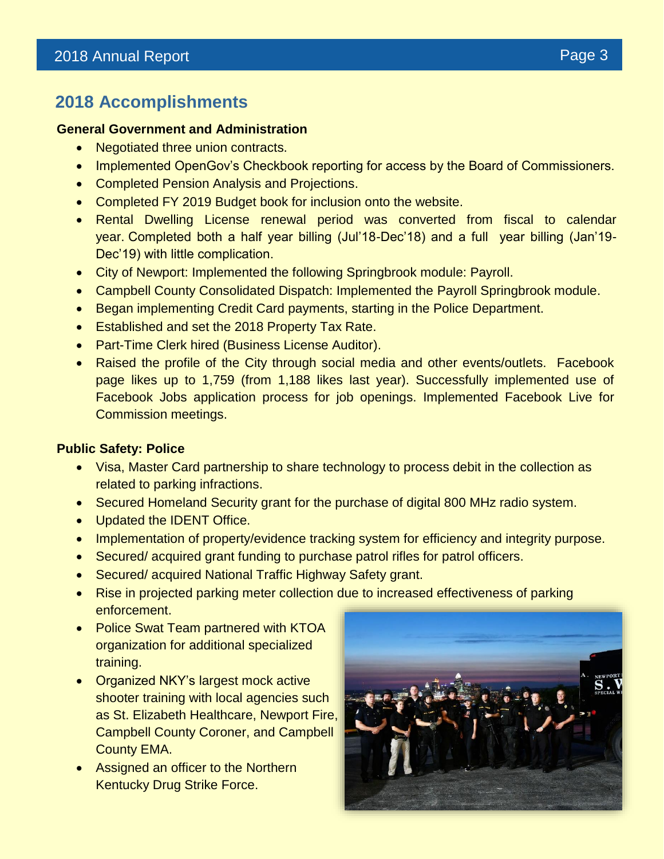# **2018 Accomplishments**

#### **General Government and Administration**

- Negotiated three union contracts.
- Implemented OpenGov's Checkbook reporting for access by the Board of Commissioners.
- Completed Pension Analysis and Projections.
- Completed FY 2019 Budget book for inclusion onto the website.
- Rental Dwelling License renewal period was converted from fiscal to calendar year. Completed both a half year billing (Jul'18-Dec'18) and a full year billing (Jan'19- Dec'19) with little complication.
- City of Newport: Implemented the following Springbrook module: Payroll.
- Campbell County Consolidated Dispatch: Implemented the Payroll Springbrook module.
- Began implementing Credit Card payments, starting in the Police Department.
- Established and set the 2018 Property Tax Rate.
- Part-Time Clerk hired (Business License Auditor).
- Raised the profile of the City through social media and other events/outlets. Facebook page likes up to 1,759 (from 1,188 likes last year). Successfully implemented use of Facebook Jobs application process for job openings. Implemented Facebook Live for Commission meetings.

### **Public Safety: Police**

- Visa, Master Card partnership to share technology to process debit in the collection as related to parking infractions.
- Secured Homeland Security grant for the purchase of digital 800 MHz radio system.
- Updated the IDENT Office.
- Implementation of property/evidence tracking system for efficiency and integrity purpose.
- Secured/ acquired grant funding to purchase patrol rifles for patrol officers.
- Secured/ acquired National Traffic Highway Safety grant.
- Rise in projected parking meter collection due to increased effectiveness of parking enforcement.
- Police Swat Team partnered with KTOA organization for additional specialized training.
- Organized NKY's largest mock active shooter training with local agencies such as St. Elizabeth Healthcare, Newport Fire, Campbell County Coroner, and Campbell County EMA.
- Assigned an officer to the Northern Kentucky Drug Strike Force.

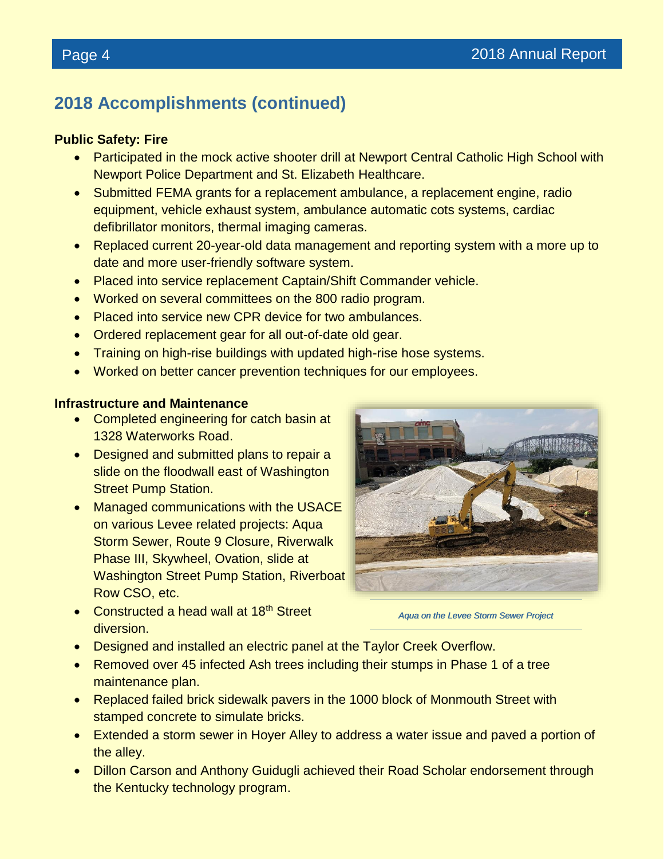# **2018 Accomplishments (continued)**

#### **Public Safety: Fire**

- Participated in the mock active shooter drill at Newport Central Catholic High School with Newport Police Department and St. Elizabeth Healthcare.
- Submitted FEMA grants for a replacement ambulance, a replacement engine, radio equipment, vehicle exhaust system, ambulance automatic cots systems, cardiac defibrillator monitors, thermal imaging cameras.
- Replaced current 20-year-old data management and reporting system with a more up to date and more user-friendly software system.
- Placed into service replacement Captain/Shift Commander vehicle.
- Worked on several committees on the 800 radio program.
- Placed into service new CPR device for two ambulances.
- Ordered replacement gear for all out-of-date old gear.
- Training on high-rise buildings with updated high-rise hose systems.
- Worked on better cancer prevention techniques for our employees.

#### **Infrastructure and Maintenance**

- Completed engineering for catch basin at 1328 Waterworks Road.
- Designed and submitted plans to repair a slide on the floodwall east of Washington Street Pump Station.
- Managed communications with the USACE on various Levee related projects: Aqua Storm Sewer, Route 9 Closure, Riverwalk Phase III, Skywheel, Ovation, slide at Washington Street Pump Station, Riverboat Row CSO, etc.



*Aqua on the Levee Storm Sewer Project*

- Constructed a head wall at 18<sup>th</sup> Street diversion.
- Designed and installed an electric panel at the Taylor Creek Overflow.
- Removed over 45 infected Ash trees including their stumps in Phase 1 of a tree maintenance plan.
- Replaced failed brick sidewalk pavers in the 1000 block of Monmouth Street with stamped concrete to simulate bricks.
- Extended a storm sewer in Hoyer Alley to address a water issue and paved a portion of the alley.
- Dillon Carson and Anthony Guidugli achieved their Road Scholar endorsement through the Kentucky technology program.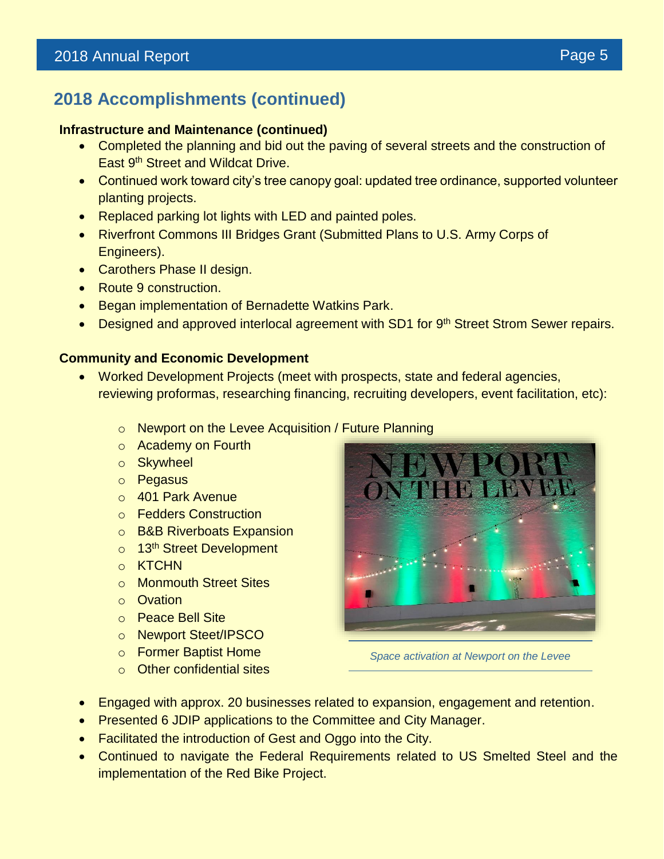# **2018 Accomplishments (continued)**

#### **Infrastructure and Maintenance (continued)**

- Completed the planning and bid out the paving of several streets and the construction of East 9<sup>th</sup> Street and Wildcat Drive.
- Continued work toward city's tree canopy goal: updated tree ordinance, supported volunteer planting projects.
- Replaced parking lot lights with LED and painted poles.
- Riverfront Commons III Bridges Grant (Submitted Plans to U.S. Army Corps of Engineers).
- Carothers Phase II design.
- Route 9 construction.
- Began implementation of Bernadette Watkins Park.
- Designed and approved interlocal agreement with SD1 for 9<sup>th</sup> Street Strom Sewer repairs.

#### **Community and Economic Development**

- Worked Development Projects (meet with prospects, state and federal agencies, reviewing proformas, researching financing, recruiting developers, event facilitation, etc):
	- o Newport on the Levee Acquisition / Future Planning
	- o Academy on Fourth
	- o Skywheel
	- o Pegasus
	- o 401 Park Avenue
	- o Fedders Construction
	- o B&B Riverboats Expansion
	- o 13<sup>th</sup> Street Development
	- o KTCHN
	- o Monmouth Street Sites
	- o Ovation
	- o Peace Bell Site
	- o Newport Steet/IPSCO
	- o Former Baptist Home
	- o Other confidential sites



*Space activation at Newport on the Levee*

- Engaged with approx. 20 businesses related to expansion, engagement and retention.
- Presented 6 JDIP applications to the Committee and City Manager.
- Facilitated the introduction of Gest and Oggo into the City.
- Continued to navigate the Federal Requirements related to US Smelted Steel and the implementation of the Red Bike Project.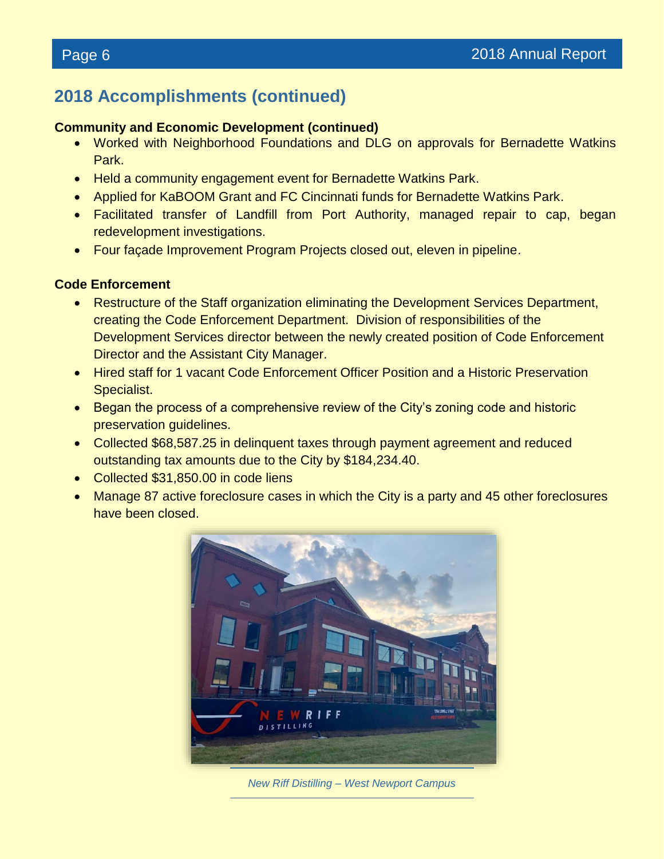# **2018 Accomplishments (continued)**

#### **Community and Economic Development (continued)**

- Worked with Neighborhood Foundations and DLG on approvals for Bernadette Watkins Park.
- Held a community engagement event for Bernadette Watkins Park.
- Applied for KaBOOM Grant and FC Cincinnati funds for Bernadette Watkins Park.
- Facilitated transfer of Landfill from Port Authority, managed repair to cap, began redevelopment investigations.
- Four façade Improvement Program Projects closed out, eleven in pipeline.

### **Code Enforcement**

- Restructure of the Staff organization eliminating the Development Services Department, creating the Code Enforcement Department. Division of responsibilities of the Development Services director between the newly created position of Code Enforcement Director and the Assistant City Manager.
- Hired staff for 1 vacant Code Enforcement Officer Position and a Historic Preservation Specialist.
- Began the process of a comprehensive review of the City's zoning code and historic preservation guidelines.
- Collected \$68,587.25 in delinquent taxes through payment agreement and reduced outstanding tax amounts due to the City by \$184,234.40.
- Collected \$31,850.00 in code liens
- Manage 87 active foreclosure cases in which the City is a party and 45 other foreclosures have been closed.



*New Riff Distilling – West Newport Campus*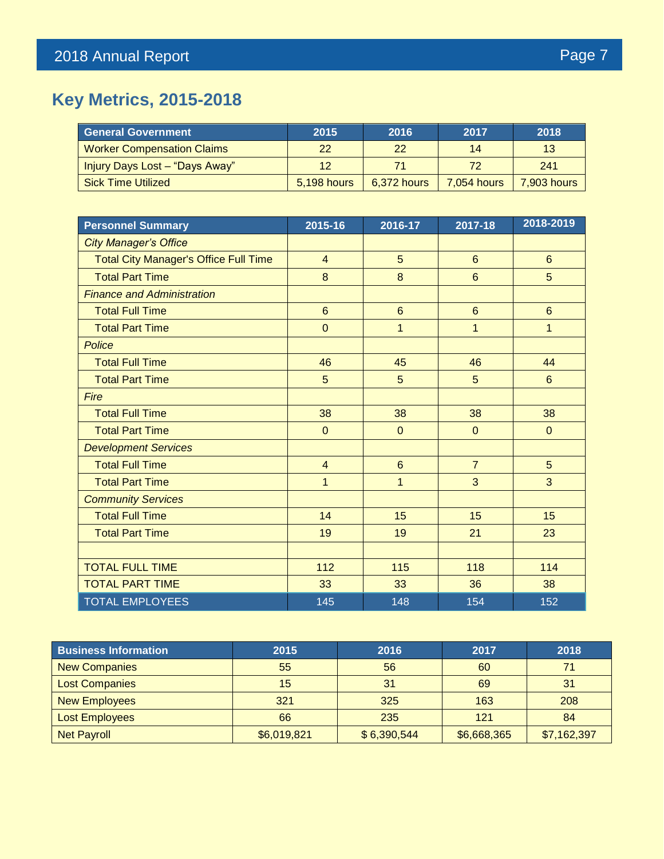# **Key Metrics, 2015-2018**

| <b>General Government</b>         | 2015        | 2016        | 2017               | 2018        |
|-----------------------------------|-------------|-------------|--------------------|-------------|
| <b>Worker Compensation Claims</b> | 22          | 22          | 14                 | 13          |
| Injury Days Lost - "Days Away"    | 12          | 71          |                    | 241         |
| <b>Sick Time Utilized</b>         | 5,198 hours | 6,372 hours | <b>7.054 hours</b> | 7,903 hours |

| <b>Personnel Summary</b>                     | 2015-16         | 2016-17        | 2017-18        | 2018-2019       |
|----------------------------------------------|-----------------|----------------|----------------|-----------------|
| <b>City Manager's Office</b>                 |                 |                |                |                 |
| <b>Total City Manager's Office Full Time</b> | $\overline{4}$  | 5              | $6\phantom{1}$ | $6\overline{6}$ |
| <b>Total Part Time</b>                       | 8               | 8              | $6\phantom{1}$ | 5               |
| <b>Finance and Administration</b>            |                 |                |                |                 |
| <b>Total Full Time</b>                       | $6\phantom{1}6$ | $6\phantom{1}$ | $6\phantom{1}$ | $6\phantom{1}$  |
| <b>Total Part Time</b>                       | $\overline{0}$  | $\mathbf{1}$   | 1              | $\mathbf{1}$    |
| Police                                       |                 |                |                |                 |
| <b>Total Full Time</b>                       | 46              | 45             | 46             | 44              |
| <b>Total Part Time</b>                       | 5               | 5              | 5              | $6\phantom{1}$  |
| Fire                                         |                 |                |                |                 |
| <b>Total Full Time</b>                       | 38              | 38             | 38             | 38              |
| <b>Total Part Time</b>                       | $\mathbf 0$     | $\Omega$       | $\mathbf{0}$   | $\mathbf{0}$    |
| <b>Development Services</b>                  |                 |                |                |                 |
| <b>Total Full Time</b>                       | $\overline{4}$  | $6\phantom{1}$ | $\overline{7}$ | 5               |
| <b>Total Part Time</b>                       | 1               | $\overline{1}$ | 3              | 3               |
| <b>Community Services</b>                    |                 |                |                |                 |
| <b>Total Full Time</b>                       | 14              | 15             | 15             | 15              |
| <b>Total Part Time</b>                       | 19              | 19             | 21             | 23              |
|                                              |                 |                |                |                 |
| <b>TOTAL FULL TIME</b>                       | 112             | 115            | 118            | 114             |
| <b>TOTAL PART TIME</b>                       | 33              | 33             | 36             | 38              |
| <b>TOTAL EMPLOYEES</b>                       | 145             | 148            | 154            | 152             |

| <b>Business Information</b> | 2015        | 2016        | 2017        | 2018        |
|-----------------------------|-------------|-------------|-------------|-------------|
| <b>New Companies</b>        | 55          | 56          | 60          | 74          |
| <b>Lost Companies</b>       | 15          | 31          | 69          | 31          |
| <b>New Employees</b>        | 321         | 325         | 163         | 208         |
| <b>Lost Employees</b>       | 66          | 235         | 121         | 84          |
| <b>Net Payroll</b>          | \$6,019,821 | \$6,390,544 | \$6,668,365 | \$7,162,397 |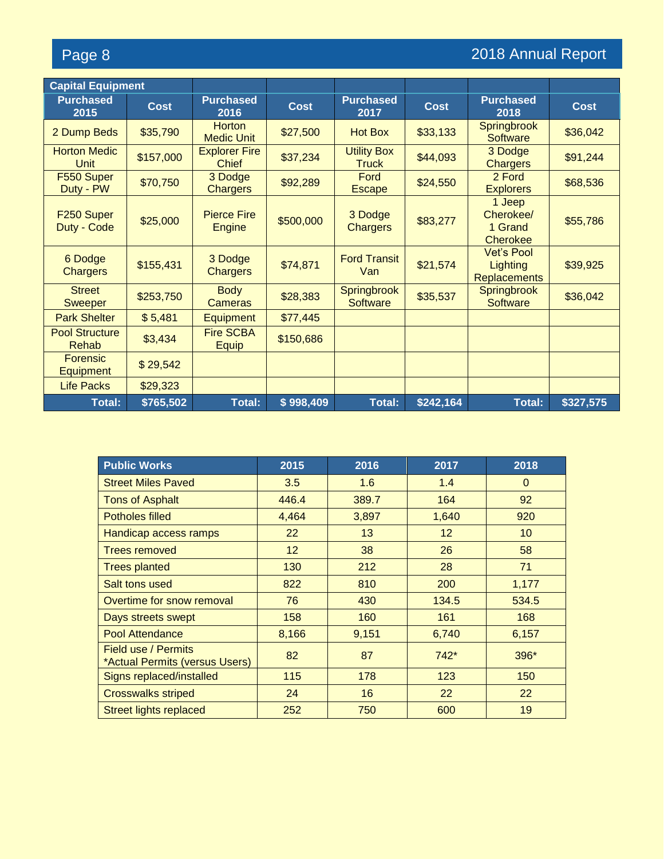# Page 8 2018 Annual Report

| <b>Capital Equipment</b>            |             |                                      |             |                                    |             |                                                      |             |
|-------------------------------------|-------------|--------------------------------------|-------------|------------------------------------|-------------|------------------------------------------------------|-------------|
| <b>Purchased</b><br>2015            | <b>Cost</b> | <b>Purchased</b><br>2016             | <b>Cost</b> | <b>Purchased</b><br>2017           | <b>Cost</b> | <b>Purchased</b><br>2018                             | <b>Cost</b> |
| 2 Dump Beds                         | \$35,790    | <b>Horton</b><br><b>Medic Unit</b>   | \$27,500    | <b>Hot Box</b>                     | \$33,133    | Springbrook<br><b>Software</b>                       | \$36,042    |
| <b>Horton Medic</b><br><b>Unit</b>  | \$157,000   | <b>Explorer Fire</b><br><b>Chief</b> | \$37,234    | <b>Utility Box</b><br><b>Truck</b> | \$44,093    | 3 Dodge<br><b>Chargers</b>                           | \$91,244    |
| F550 Super<br>Duty - PW             | \$70,750    | 3 Dodge<br><b>Chargers</b>           | \$92,289    | Ford<br><b>Escape</b>              | \$24,550    | 2 Ford<br><b>Explorers</b>                           | \$68,536    |
| F250 Super<br>Duty - Code           | \$25,000    | <b>Pierce Fire</b><br><b>Engine</b>  | \$500,000   | 3 Dodge<br><b>Chargers</b>         | \$83,277    | 1 Jeep<br>Cherokee/<br>1 Grand<br><b>Cherokee</b>    | \$55,786    |
| 6 Dodge<br><b>Chargers</b>          | \$155,431   | 3 Dodge<br><b>Chargers</b>           | \$74,871    | <b>Ford Transit</b><br>Van         | \$21,574    | <b>Vet's Pool</b><br>Lighting<br><b>Replacements</b> | \$39,925    |
| <b>Street</b><br><b>Sweeper</b>     | \$253,750   | <b>Body</b><br><b>Cameras</b>        | \$28,383    | Springbrook<br><b>Software</b>     | \$35,537    | Springbrook<br><b>Software</b>                       | \$36,042    |
| <b>Park Shelter</b>                 | \$5,481     | <b>Equipment</b>                     | \$77,445    |                                    |             |                                                      |             |
| <b>Pool Structure</b><br>Rehab      | \$3,434     | <b>Fire SCBA</b><br><b>Equip</b>     | \$150,686   |                                    |             |                                                      |             |
| <b>Forensic</b><br><b>Equipment</b> | \$29,542    |                                      |             |                                    |             |                                                      |             |
| <b>Life Packs</b>                   | \$29,323    |                                      |             |                                    |             |                                                      |             |
| Total:                              | \$765,502   | <b>Total:</b>                        | \$998,409   | <b>Total:</b>                      | \$242,164   | <b>Total:</b>                                        | \$327,575   |

| <b>Public Works</b>                                   | 2015            | 2016  | 2017              | 2018            |
|-------------------------------------------------------|-----------------|-------|-------------------|-----------------|
| <b>Street Miles Paved</b>                             | 3.5             | 1.6   | 1.4               | $\Omega$        |
| <b>Tons of Asphalt</b>                                | 446.4           | 389.7 | 164               | 92              |
| <b>Potholes filled</b>                                | 4,464           | 3,897 | 1,640             | 920             |
| Handicap access ramps                                 | <b>22</b>       | 13    | $12 \overline{ }$ | 10 <sup>°</sup> |
| <b>Trees removed</b>                                  | 12 <sup>2</sup> | 38    | 26                | 58              |
| <b>Trees planted</b>                                  | 130             | 212   | 28                | 71              |
| Salt tons used                                        | 822             | 810   | 200               | 1,177           |
| Overtime for snow removal                             | 76              | 430   | 134.5             | 534.5           |
| Days streets swept                                    | 158             | 160   | 161               | 168             |
| Pool Attendance                                       | 8,166           | 9,151 | 6,740             | 6,157           |
| Field use / Permits<br>*Actual Permits (versus Users) | 82              | 87    | $742*$            | 396*            |
| Signs replaced/installed                              | 115             | 178   | 123               | 150             |
| <b>Crosswalks striped</b>                             | 24              | 16    | 22                | 22              |
| Street lights replaced                                | 252             | 750   | 600               | 19              |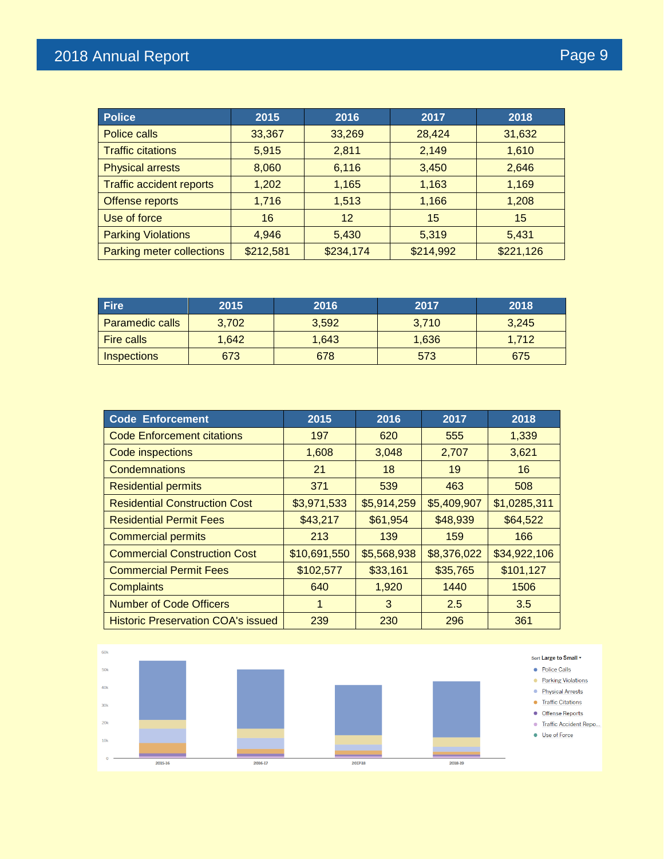| <b>Police</b>                    | 2015      | 2016      | 2017      | 2018      |
|----------------------------------|-----------|-----------|-----------|-----------|
| Police calls                     | 33,367    | 33,269    | 28,424    | 31,632    |
| <b>Traffic citations</b>         | 5,915     | 2,811     | 2,149     | 1,610     |
| <b>Physical arrests</b>          | 8,060     | 6,116     | 3,450     | 2,646     |
| <b>Traffic accident reports</b>  | 1,202     | 1,165     | 1,163     | 1,169     |
| Offense reports                  | 1,716     | 1,513     | 1,166     | 1,208     |
| Use of force                     | 16        | 12        | 15        | 15        |
| <b>Parking Violations</b>        | 4,946     | 5,430     | 5,319     | 5,431     |
| <b>Parking meter collections</b> | \$212,581 | \$234,174 | \$214,992 | \$221,126 |

| <b>Fire</b>            | 2015  | 2016  | 2017  | 2018  |
|------------------------|-------|-------|-------|-------|
| <b>Paramedic calls</b> | 3,702 | 3,592 | 3,710 | 3,245 |
| <b>Fire calls</b>      | 1,642 | 1,643 | 1,636 | 1.712 |
| <b>Inspections</b>     | 673   | 678   | 573   | 675   |

| <b>Code Enforcement</b>                   | 2015         | 2016        | 2017        | 2018         |
|-------------------------------------------|--------------|-------------|-------------|--------------|
| <b>Code Enforcement citations</b>         | 197          | 620         | 555         | 1,339        |
| Code inspections                          | 1,608        | 3,048       | 2,707       | 3,621        |
| <b>Condemnations</b>                      | 21           | 18          | 19          | 16           |
| <b>Residential permits</b>                | 371          | 539         | 463         | 508          |
| <b>Residential Construction Cost</b>      | \$3,971,533  | \$5,914,259 | \$5,409,907 | \$1,0285,311 |
| <b>Residential Permit Fees</b>            | \$43,217     | \$61,954    | \$48,939    | \$64,522     |
| <b>Commercial permits</b>                 | 213          | 139         | 159         | 166          |
| <b>Commercial Construction Cost</b>       | \$10,691,550 | \$5,568,938 | \$8,376,022 | \$34,922,106 |
| <b>Commercial Permit Fees</b>             | \$102,577    | \$33,161    | \$35,765    | \$101,127    |
| <b>Complaints</b>                         | 640          | 1,920       | 1440        | 1506         |
| <b>Number of Code Officers</b>            |              | 3           | 2.5         | 3.5          |
| <b>Historic Preservation COA's issued</b> | 239          | 230         | 296         | 361          |

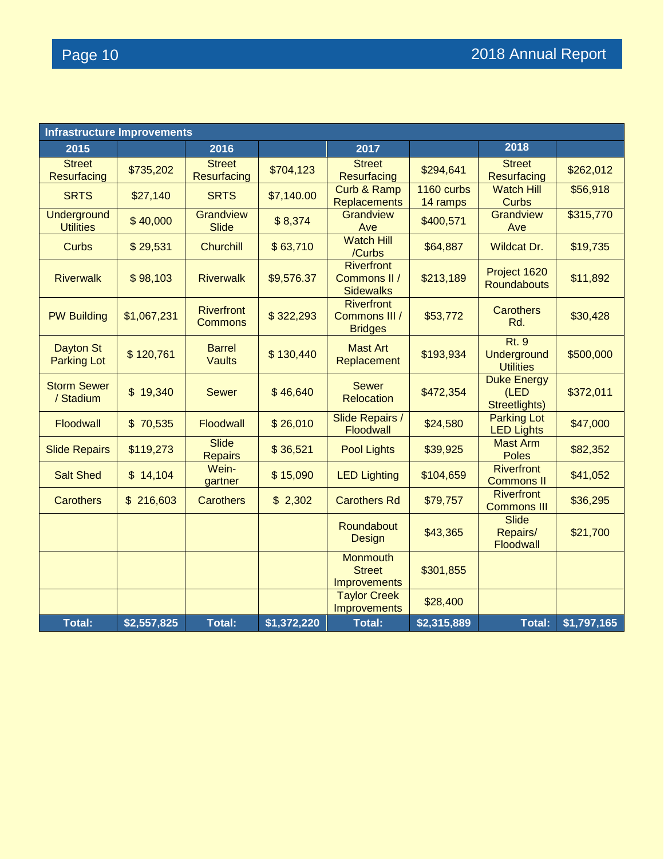| <b>Infrastructure Improvements</b>     |             |                                     |             |                                                         |                        |                                                 |             |
|----------------------------------------|-------------|-------------------------------------|-------------|---------------------------------------------------------|------------------------|-------------------------------------------------|-------------|
| 2015                                   |             | 2016                                |             | 2017                                                    |                        | 2018                                            |             |
| <b>Street</b><br>Resurfacing           | \$735,202   | <b>Street</b><br>Resurfacing        | \$704,123   | <b>Street</b><br><b>Resurfacing</b>                     | \$294,641              | <b>Street</b><br>Resurfacing                    | \$262,012   |
| <b>SRTS</b>                            | \$27,140    | <b>SRTS</b>                         | \$7,140.00  | Curb & Ramp<br><b>Replacements</b>                      | 1160 curbs<br>14 ramps | <b>Watch Hill</b><br><b>Curbs</b>               | \$56,918    |
| <b>Underground</b><br><b>Utilities</b> | \$40,000    | Grandview<br><b>Slide</b>           | \$8,374     | Grandview<br>Ave                                        | \$400,571              | Grandview<br>Ave                                | \$315,770   |
| <b>Curbs</b>                           | \$29,531    | <b>Churchill</b>                    | \$63,710    | <b>Watch Hill</b><br>/Curbs                             | \$64,887               | <b>Wildcat Dr.</b>                              | \$19,735    |
| <b>Riverwalk</b>                       | \$98,103    | <b>Riverwalk</b>                    | \$9,576.37  | <b>Riverfront</b><br>Commons II /<br><b>Sidewalks</b>   | \$213,189              | Project 1620<br><b>Roundabouts</b>              | \$11,892    |
| <b>PW Building</b>                     | \$1,067,231 | <b>Riverfront</b><br><b>Commons</b> | \$322,293   | <b>Riverfront</b><br>Commons III /<br><b>Bridges</b>    | \$53,772               | <b>Carothers</b><br>Rd.                         | \$30,428    |
| <b>Dayton St</b><br><b>Parking Lot</b> | \$120,761   | <b>Barrel</b><br><b>Vaults</b>      | \$130,440   | <b>Mast Art</b><br>Replacement                          | \$193,934              | <b>Rt. 9</b><br>Underground<br><b>Utilities</b> | \$500,000   |
| <b>Storm Sewer</b><br>/ Stadium        | \$19,340    | <b>Sewer</b>                        | \$46,640    | <b>Sewer</b><br><b>Relocation</b>                       | \$472,354              | <b>Duke Energy</b><br>(LED<br>Streetlights)     | \$372,011   |
| Floodwall                              | \$70,535    | Floodwall                           | \$26,010    | Slide Repairs /<br>Floodwall                            | \$24,580               | <b>Parking Lot</b><br><b>LED Lights</b>         | \$47,000    |
| <b>Slide Repairs</b>                   | \$119,273   | <b>Slide</b><br><b>Repairs</b>      | \$36,521    | <b>Pool Lights</b>                                      | \$39,925               | <b>Mast Arm</b><br><b>Poles</b>                 | \$82,352    |
| <b>Salt Shed</b>                       | \$14,104    | Wein-<br>gartner                    | \$15,090    | <b>LED Lighting</b>                                     | \$104,659              | <b>Riverfront</b><br><b>Commons II</b>          | \$41,052    |
| <b>Carothers</b>                       | \$216,603   | <b>Carothers</b>                    | \$2,302     | <b>Carothers Rd</b>                                     | \$79,757               | <b>Riverfront</b><br><b>Commons III</b>         | \$36,295    |
|                                        |             |                                     |             | Roundabout<br>Design                                    | \$43,365               | <b>Slide</b><br>Repairs/<br><b>Floodwall</b>    | \$21,700    |
|                                        |             |                                     |             | <b>Monmouth</b><br><b>Street</b><br><b>Improvements</b> | \$301,855              |                                                 |             |
|                                        |             |                                     |             | <b>Taylor Creek</b><br><b>Improvements</b>              | \$28,400               |                                                 |             |
| <b>Total:</b>                          | \$2,557,825 | <b>Total:</b>                       | \$1,372,220 | <b>Total:</b>                                           | \$2,315,889            | Total:                                          | \$1,797,165 |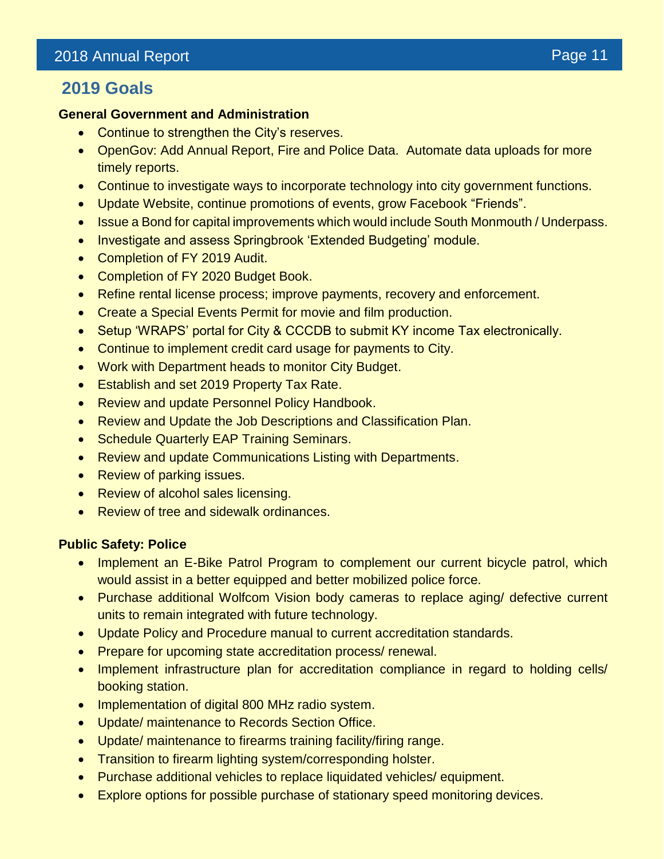## **2019 Goals**

### **General Government and Administration**

- Continue to strengthen the City's reserves.
- OpenGov: Add Annual Report, Fire and Police Data. Automate data uploads for more timely reports.
- Continue to investigate ways to incorporate technology into city government functions.
- Update Website, continue promotions of events, grow Facebook "Friends".
- Issue a Bond for capital improvements which would include South Monmouth / Underpass.
- Investigate and assess Springbrook 'Extended Budgeting' module.
- Completion of FY 2019 Audit.
- Completion of FY 2020 Budget Book.
- Refine rental license process; improve payments, recovery and enforcement.
- Create a Special Events Permit for movie and film production.
- Setup 'WRAPS' portal for City & CCCDB to submit KY income Tax electronically.
- Continue to implement credit card usage for payments to City.
- Work with Department heads to monitor City Budget.
- Establish and set 2019 Property Tax Rate.
- Review and update Personnel Policy Handbook.
- Review and Update the Job Descriptions and Classification Plan.
- Schedule Quarterly EAP Training Seminars.
- Review and update Communications Listing with Departments.
- Review of parking issues.
- Review of alcohol sales licensing.
- Review of tree and sidewalk ordinances.

#### **Public Safety: Police**

- Implement an E-Bike Patrol Program to complement our current bicycle patrol, which would assist in a better equipped and better mobilized police force.
- Purchase additional Wolfcom Vision body cameras to replace aging/ defective current units to remain integrated with future technology.
- Update Policy and Procedure manual to current accreditation standards.
- Prepare for upcoming state accreditation process/ renewal.
- Implement infrastructure plan for accreditation compliance in regard to holding cells/ booking station.
- Implementation of digital 800 MHz radio system.
- Update/ maintenance to Records Section Office.
- Update/ maintenance to firearms training facility/firing range.
- Transition to firearm lighting system/corresponding holster.
- Purchase additional vehicles to replace liquidated vehicles/ equipment.
- Explore options for possible purchase of stationary speed monitoring devices.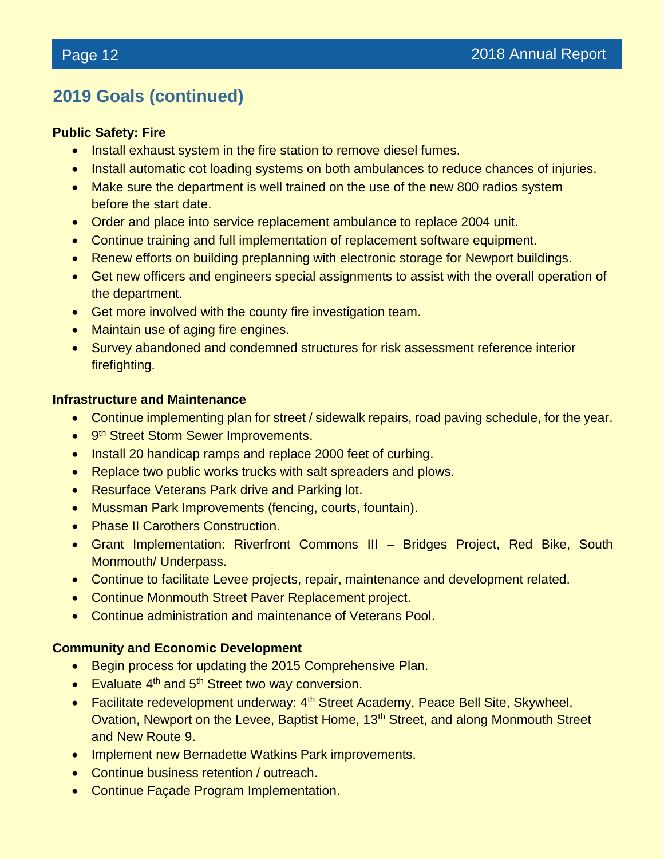# **2019 Goals (continued)**

#### **Public Safety: Fire**

- Install exhaust system in the fire station to remove diesel fumes.
- Install automatic cot loading systems on both ambulances to reduce chances of injuries.
- Make sure the department is well trained on the use of the new 800 radios system before the start date.
- Order and place into service replacement ambulance to replace 2004 unit.
- Continue training and full implementation of replacement software equipment.
- Renew efforts on building preplanning with electronic storage for Newport buildings.
- Get new officers and engineers special assignments to assist with the overall operation of the department.
- Get more involved with the county fire investigation team.
- Maintain use of aging fire engines.
- Survey abandoned and condemned structures for risk assessment reference interior firefighting.

#### **Infrastructure and Maintenance**

- Continue implementing plan for street / sidewalk repairs, road paving schedule, for the year.
- 9<sup>th</sup> Street Storm Sewer Improvements.
- Install 20 handicap ramps and replace 2000 feet of curbing.
- Replace two public works trucks with salt spreaders and plows.
- Resurface Veterans Park drive and Parking lot.
- Mussman Park Improvements (fencing, courts, fountain).
- Phase II Carothers Construction.
- Grant Implementation: Riverfront Commons III Bridges Project, Red Bike, South Monmouth/ Underpass.
- Continue to facilitate Levee projects, repair, maintenance and development related.
- Continue Monmouth Street Paver Replacement project.
- Continue administration and maintenance of Veterans Pool.

#### **Community and Economic Development**

- Begin process for updating the 2015 Comprehensive Plan.
- Evaluate 4<sup>th</sup> and 5<sup>th</sup> Street two way conversion.
- Facilitate redevelopment underway: 4<sup>th</sup> Street Academy, Peace Bell Site, Skywheel, Ovation, Newport on the Levee, Baptist Home, 13<sup>th</sup> Street, and along Monmouth Street and New Route 9.
- Implement new Bernadette Watkins Park improvements.
- Continue business retention / outreach.
- Continue Façade Program Implementation.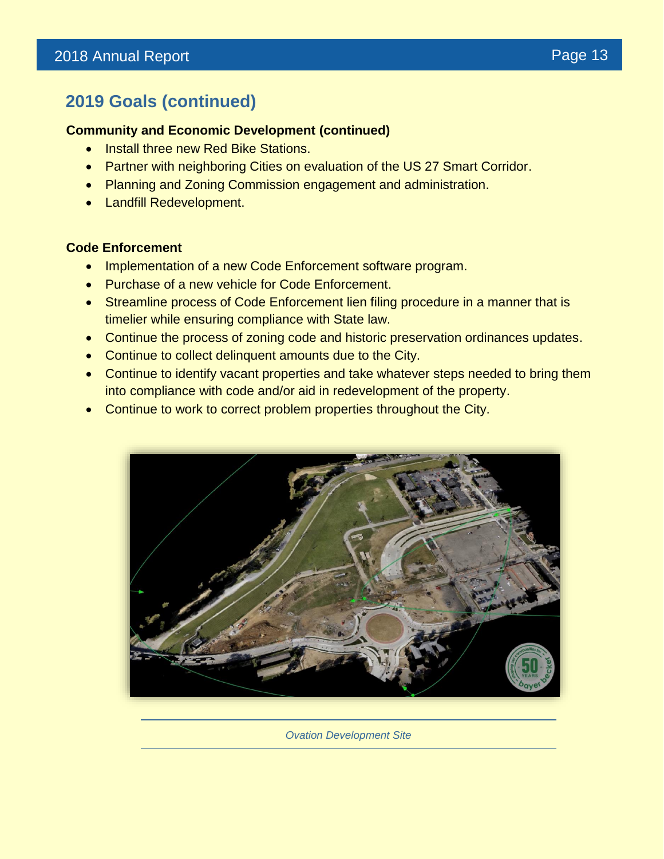# **2019 Goals (continued)**

#### **Community and Economic Development (continued)**

- Install three new Red Bike Stations.
- Partner with neighboring Cities on evaluation of the US 27 Smart Corridor.
- Planning and Zoning Commission engagement and administration.
- Landfill Redevelopment.

#### **Code Enforcement**

- Implementation of a new Code Enforcement software program.
- Purchase of a new vehicle for Code Enforcement.
- Streamline process of Code Enforcement lien filing procedure in a manner that is timelier while ensuring compliance with State law.
- Continue the process of zoning code and historic preservation ordinances updates.
- Continue to collect delinquent amounts due to the City.
- Continue to identify vacant properties and take whatever steps needed to bring them into compliance with code and/or aid in redevelopment of the property.
- Continue to work to correct problem properties throughout the City.



*Ovation Development Site*